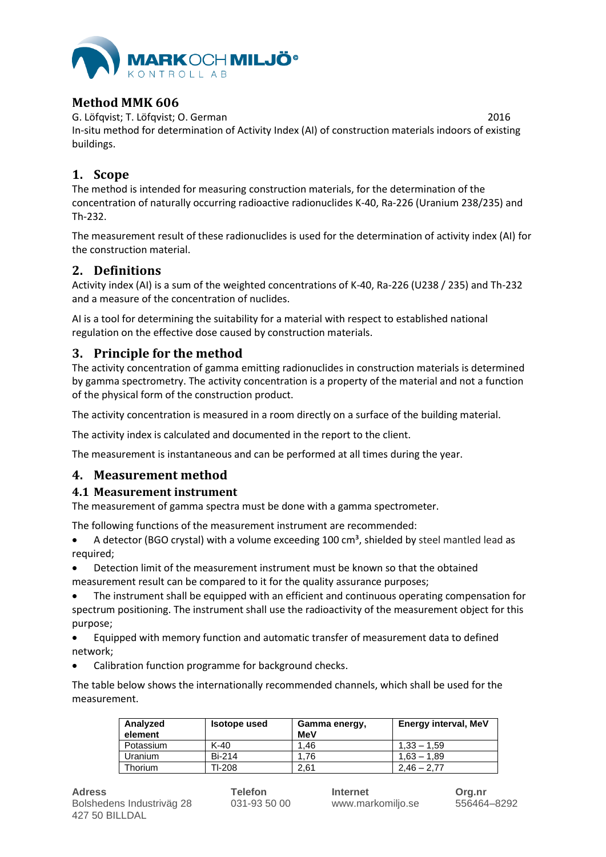

# **Method MMK 606**

G. Löfqvist; T. Löfqvist; O. German 2016 In-situ method for determination of Activity Index (AI) of construction materials indoors of existing buildings.

# **1. Scope**

The method is intended for measuring construction materials, for the determination of the concentration of naturally occurring radioactive radionuclides K-40, Ra-226 (Uranium 238/235) and Th-232.

The measurement result of these radionuclides is used for the determination of activity index (AI) for the construction material.

# **2. Definitions**

Activity index (AI) is a sum of the weighted concentrations of K-40, Ra-226 (U238 / 235) and Th-232 and a measure of the concentration of nuclides.

AI is a tool for determining the suitability for a material with respect to established national regulation on the effective dose caused by construction materials.

# **3. Principle for the method**

The activity concentration of gamma emitting radionuclides in construction materials is determined by gamma spectrometry. The activity concentration is a property of the material and not a function of the physical form of the construction product.

The activity concentration is measured in a room directly on a surface of the building material.

The activity index is calculated and documented in the report to the client.

The measurement is instantaneous and can be performed at all times during the year.

# **4. Measurement method**

### **4.1 Measurement instrument**

The measurement of gamma spectra must be done with a gamma spectrometer.

The following functions of the measurement instrument are recommended:

- A detector (BGO crystal) with a volume exceeding 100  $\text{cm}^3$ , shielded by steel mantled lead as required;
- Detection limit of the measurement instrument must be known so that the obtained measurement result can be compared to it for the quality assurance purposes;
- The instrument shall be equipped with an efficient and continuous operating compensation for spectrum positioning. The instrument shall use the radioactivity of the measurement object for this purpose;
- Equipped with memory function and automatic transfer of measurement data to defined network;
- Calibration function programme for background checks.

The table below shows the internationally recommended channels, which shall be used for the measurement.

| Analyzed<br>element | <b>Isotope used</b> | Gamma energy,<br>MeV | Energy interval, MeV |
|---------------------|---------------------|----------------------|----------------------|
| Potassium           | K-40                | 1.46                 | $1.33 - 1.59$        |
| Uranium             | <b>Bi-214</b>       | 1.76                 | $1.63 - 1.89$        |
| Thorium             | TI-208              | 2.61                 | $2.46 - 2.77$        |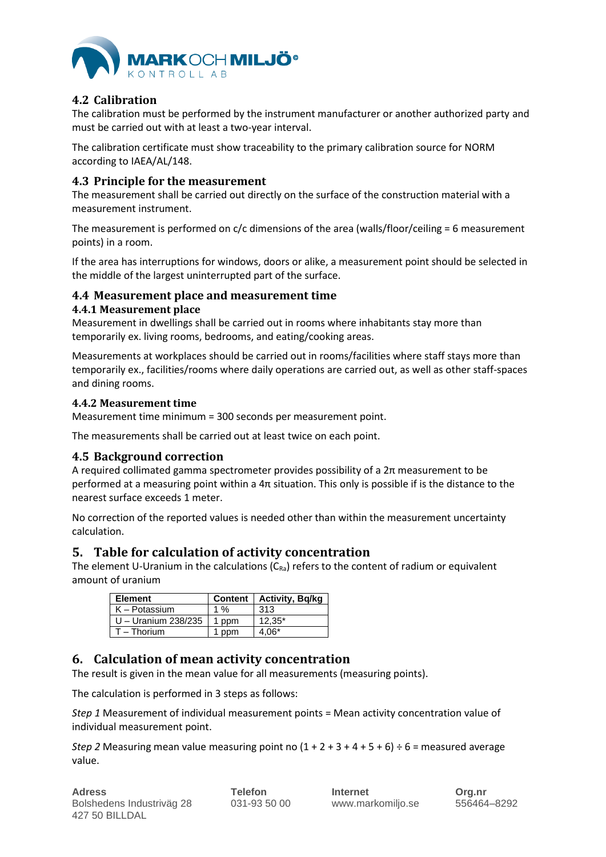

# **4.2 Calibration**

The calibration must be performed by the instrument manufacturer or another authorized party and must be carried out with at least a two-year interval.

The calibration certificate must show traceability to the primary calibration source for NORM according to IAEA/AL/148.

### **4.3 Principle for the measurement**

The measurement shall be carried out directly on the surface of the construction material with a measurement instrument.

The measurement is performed on c/c dimensions of the area (walls/floor/ceiling = 6 measurement points) in a room.

If the area has interruptions for windows, doors or alike, a measurement point should be selected in the middle of the largest uninterrupted part of the surface.

### **4.4 Measurement place and measurement time**

### **4.4.1 Measurement place**

Measurement in dwellings shall be carried out in rooms where inhabitants stay more than temporarily ex. living rooms, bedrooms, and eating/cooking areas.

Measurements at workplaces should be carried out in rooms/facilities where staff stays more than temporarily ex., facilities/rooms where daily operations are carried out, as well as other staff-spaces and dining rooms.

### **4.4.2 Measurement time**

Measurement time minimum = 300 seconds per measurement point.

The measurements shall be carried out at least twice on each point.

### **4.5 Background correction**

A required collimated gamma spectrometer provides possibility of a  $2\pi$  measurement to be performed at a measuring point within a  $4\pi$  situation. This only is possible if is the distance to the nearest surface exceeds 1 meter.

No correction of the reported values is needed other than within the measurement uncertainty calculation.

# **5. Table for calculation of activity concentration**

The element U-Uranium in the calculations  $(C_{Ra})$  refers to the content of radium or equivalent amount of uranium

| <b>Element</b>      |       | Content   Activity, Bq/kg |
|---------------------|-------|---------------------------|
| $K -$ Potassium     | 1 $%$ | 313                       |
| U - Uranium 238/235 | 1 ppm | $12,35*$                  |
| $T - Thorium$       | 1 ppm | 4,06*                     |

# **6. Calculation of mean activity concentration**

The result is given in the mean value for all measurements (measuring points).

The calculation is performed in 3 steps as follows:

*Step 1* Measurement of individual measurement points = Mean activity concentration value of individual measurement point.

*Step 2* Measuring mean value measuring point no  $(1 + 2 + 3 + 4 + 5 + 6) \div 6 =$  measured average value.